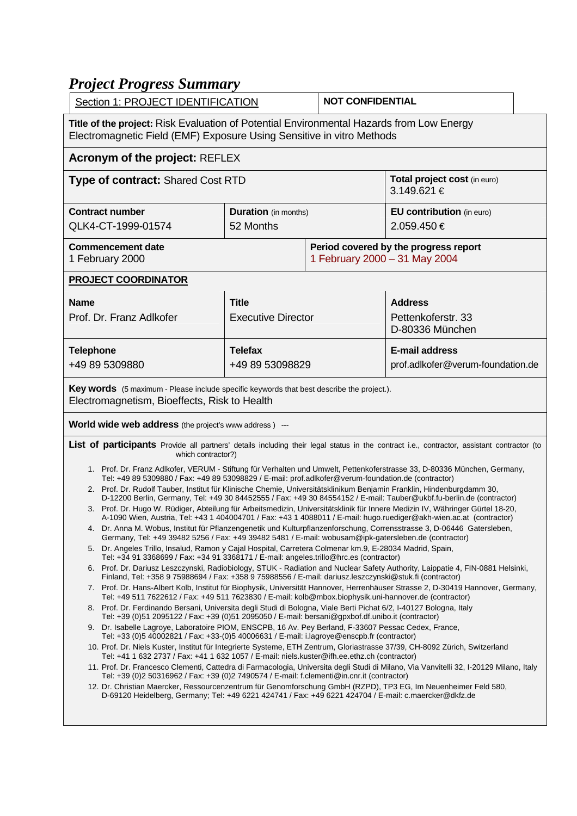## *Project Progress Summary*

|                                                                                                                                                                                                                                                                                                                                                                                                                                                                                                                                                                                                                                                                                                                                                                                                                                                                                                                                                                                                                                                                                                                                                                                                                                                                                                                                                                                                                                                                                                                                                                                                                                                                                                                                                                                                                                                                                                                                                                                                                                                                                                                                                                                                                                                                                                                                                                                                                                                                                                                                                                                                                                                                                                                                                                                                              | Section 1: PROJECT IDENTIFICATION         |                                                                        | <b>NOT CONFIDENTIAL</b>                                    |  |
|--------------------------------------------------------------------------------------------------------------------------------------------------------------------------------------------------------------------------------------------------------------------------------------------------------------------------------------------------------------------------------------------------------------------------------------------------------------------------------------------------------------------------------------------------------------------------------------------------------------------------------------------------------------------------------------------------------------------------------------------------------------------------------------------------------------------------------------------------------------------------------------------------------------------------------------------------------------------------------------------------------------------------------------------------------------------------------------------------------------------------------------------------------------------------------------------------------------------------------------------------------------------------------------------------------------------------------------------------------------------------------------------------------------------------------------------------------------------------------------------------------------------------------------------------------------------------------------------------------------------------------------------------------------------------------------------------------------------------------------------------------------------------------------------------------------------------------------------------------------------------------------------------------------------------------------------------------------------------------------------------------------------------------------------------------------------------------------------------------------------------------------------------------------------------------------------------------------------------------------------------------------------------------------------------------------------------------------------------------------------------------------------------------------------------------------------------------------------------------------------------------------------------------------------------------------------------------------------------------------------------------------------------------------------------------------------------------------------------------------------------------------------------------------------------------------|-------------------------------------------|------------------------------------------------------------------------|------------------------------------------------------------|--|
| Title of the project: Risk Evaluation of Potential Environmental Hazards from Low Energy<br>Electromagnetic Field (EMF) Exposure Using Sensitive in vitro Methods                                                                                                                                                                                                                                                                                                                                                                                                                                                                                                                                                                                                                                                                                                                                                                                                                                                                                                                                                                                                                                                                                                                                                                                                                                                                                                                                                                                                                                                                                                                                                                                                                                                                                                                                                                                                                                                                                                                                                                                                                                                                                                                                                                                                                                                                                                                                                                                                                                                                                                                                                                                                                                            |                                           |                                                                        |                                                            |  |
| <b>Acronym of the project: REFLEX</b>                                                                                                                                                                                                                                                                                                                                                                                                                                                                                                                                                                                                                                                                                                                                                                                                                                                                                                                                                                                                                                                                                                                                                                                                                                                                                                                                                                                                                                                                                                                                                                                                                                                                                                                                                                                                                                                                                                                                                                                                                                                                                                                                                                                                                                                                                                                                                                                                                                                                                                                                                                                                                                                                                                                                                                        |                                           |                                                                        |                                                            |  |
| <b>Type of contract: Shared Cost RTD</b>                                                                                                                                                                                                                                                                                                                                                                                                                                                                                                                                                                                                                                                                                                                                                                                                                                                                                                                                                                                                                                                                                                                                                                                                                                                                                                                                                                                                                                                                                                                                                                                                                                                                                                                                                                                                                                                                                                                                                                                                                                                                                                                                                                                                                                                                                                                                                                                                                                                                                                                                                                                                                                                                                                                                                                     |                                           |                                                                        | Total project cost (in euro)<br>3.149.621 €                |  |
| <b>Contract number</b><br>QLK4-CT-1999-01574                                                                                                                                                                                                                                                                                                                                                                                                                                                                                                                                                                                                                                                                                                                                                                                                                                                                                                                                                                                                                                                                                                                                                                                                                                                                                                                                                                                                                                                                                                                                                                                                                                                                                                                                                                                                                                                                                                                                                                                                                                                                                                                                                                                                                                                                                                                                                                                                                                                                                                                                                                                                                                                                                                                                                                 | <b>Duration</b> (in months)<br>52 Months  |                                                                        | <b>EU contribution</b> (in euro)<br>2.059.450€             |  |
| <b>Commencement date</b><br>1 February 2000                                                                                                                                                                                                                                                                                                                                                                                                                                                                                                                                                                                                                                                                                                                                                                                                                                                                                                                                                                                                                                                                                                                                                                                                                                                                                                                                                                                                                                                                                                                                                                                                                                                                                                                                                                                                                                                                                                                                                                                                                                                                                                                                                                                                                                                                                                                                                                                                                                                                                                                                                                                                                                                                                                                                                                  |                                           | Period covered by the progress report<br>1 February 2000 - 31 May 2004 |                                                            |  |
| <b>PROJECT COORDINATOR</b>                                                                                                                                                                                                                                                                                                                                                                                                                                                                                                                                                                                                                                                                                                                                                                                                                                                                                                                                                                                                                                                                                                                                                                                                                                                                                                                                                                                                                                                                                                                                                                                                                                                                                                                                                                                                                                                                                                                                                                                                                                                                                                                                                                                                                                                                                                                                                                                                                                                                                                                                                                                                                                                                                                                                                                                   |                                           |                                                                        |                                                            |  |
| <b>Name</b><br>Prof. Dr. Franz Adlkofer                                                                                                                                                                                                                                                                                                                                                                                                                                                                                                                                                                                                                                                                                                                                                                                                                                                                                                                                                                                                                                                                                                                                                                                                                                                                                                                                                                                                                                                                                                                                                                                                                                                                                                                                                                                                                                                                                                                                                                                                                                                                                                                                                                                                                                                                                                                                                                                                                                                                                                                                                                                                                                                                                                                                                                      | <b>Title</b><br><b>Executive Director</b> |                                                                        | <b>Address</b><br>Pettenkoferstr, 33<br>D-80336 München    |  |
| <b>Telephone</b><br>+49 89 5309880                                                                                                                                                                                                                                                                                                                                                                                                                                                                                                                                                                                                                                                                                                                                                                                                                                                                                                                                                                                                                                                                                                                                                                                                                                                                                                                                                                                                                                                                                                                                                                                                                                                                                                                                                                                                                                                                                                                                                                                                                                                                                                                                                                                                                                                                                                                                                                                                                                                                                                                                                                                                                                                                                                                                                                           | <b>Telefax</b><br>+49 89 53098829         |                                                                        | <b>E-mail address</b><br>prof.adlkofer@verum-foundation.de |  |
| Key words (5 maximum - Please include specific keywords that best describe the project.).<br>Electromagnetism, Bioeffects, Risk to Health                                                                                                                                                                                                                                                                                                                                                                                                                                                                                                                                                                                                                                                                                                                                                                                                                                                                                                                                                                                                                                                                                                                                                                                                                                                                                                                                                                                                                                                                                                                                                                                                                                                                                                                                                                                                                                                                                                                                                                                                                                                                                                                                                                                                                                                                                                                                                                                                                                                                                                                                                                                                                                                                    |                                           |                                                                        |                                                            |  |
| <b>World wide web address</b> (the project's www address) ---                                                                                                                                                                                                                                                                                                                                                                                                                                                                                                                                                                                                                                                                                                                                                                                                                                                                                                                                                                                                                                                                                                                                                                                                                                                                                                                                                                                                                                                                                                                                                                                                                                                                                                                                                                                                                                                                                                                                                                                                                                                                                                                                                                                                                                                                                                                                                                                                                                                                                                                                                                                                                                                                                                                                                |                                           |                                                                        |                                                            |  |
| List of participants Provide all partners' details including their legal status in the contract i.e., contractor, assistant contractor (to<br>which contractor?)                                                                                                                                                                                                                                                                                                                                                                                                                                                                                                                                                                                                                                                                                                                                                                                                                                                                                                                                                                                                                                                                                                                                                                                                                                                                                                                                                                                                                                                                                                                                                                                                                                                                                                                                                                                                                                                                                                                                                                                                                                                                                                                                                                                                                                                                                                                                                                                                                                                                                                                                                                                                                                             |                                           |                                                                        |                                                            |  |
| 1. Prof. Dr. Franz Adlkofer, VERUM - Stiftung für Verhalten und Umwelt, Pettenkoferstrasse 33, D-80336 München, Germany,<br>Tel: +49 89 5309880 / Fax: +49 89 53098829 / E-mail: prof.adlkofer@verum-foundation.de (contractor)<br>2. Prof. Dr. Rudolf Tauber, Institut für Klinische Chemie, Universitätsklinikum Benjamin Franklin, Hindenburgdamm 30,<br>D-12200 Berlin, Germany, Tel: +49 30 84452555 / Fax: +49 30 84554152 / E-mail: Tauber@ukbf.fu-berlin.de (contractor)<br>3. Prof. Dr. Hugo W. Rüdiger, Abteilung für Arbeitsmedizin, Universitätsklinik für Innere Medizin IV, Währinger Gürtel 18-20,<br>A-1090 Wien, Austria, Tel: +43 1 404004701 / Fax: +43 1 4088011 / E-mail: hugo.ruediger@akh-wien.ac.at (contractor)<br>4. Dr. Anna M. Wobus, Institut für Pflanzengenetik und Kulturpflanzenforschung, Corrensstrasse 3, D-06446 Gatersleben,<br>Germany, Tel: +49 39482 5256 / Fax: +49 39482 5481 / E-mail: wobusam@ipk-gatersleben.de (contractor)<br>5. Dr. Angeles Trillo, Insalud, Ramon y Cajal Hospital, Carretera Colmenar km.9, E-28034 Madrid, Spain,<br>Tel: +34 91 3368699 / Fax: +34 91 3368171 / E-mail: angeles.trillo@hrc.es (contractor)<br>6. Prof. Dr. Dariusz Leszczynski, Radiobiology, STUK - Radiation and Nuclear Safety Authority, Laippatie 4, FIN-0881 Helsinki,<br>Finland, Tel: +358 9 75988694 / Fax: +358 9 75988556 / E-mail: dariusz.leszczynski@stuk.fi (contractor)<br>7. Prof. Dr. Hans-Albert Kolb, Institut für Biophysik, Universität Hannover, Herrenhäuser Strasse 2, D-30419 Hannover, Germany,<br>Tel: +49 511 7622612 / Fax: +49 511 7623830 / E-mail: kolb@mbox.biophysik.uni-hannover.de (contractor)<br>8. Prof. Dr. Ferdinando Bersani, Universita degli Studi di Bologna, Viale Berti Pichat 6/2, I-40127 Bologna, Italy<br>Tel: +39 (0)51 2095122 / Fax: +39 (0)51 2095050 / E-mail: bersani@gpxbof.df.unibo.it (contractor)<br>9. Dr. Isabelle Lagroye, Laboratoire PIOM, ENSCPB, 16 Av. Pey Berland, F-33607 Pessac Cedex, France,<br>Tel: +33 (0)5 40002821 / Fax: +33-(0)5 40006631 / E-mail: i.lagroye@enscpb.fr (contractor)<br>10. Prof. Dr. Niels Kuster, Institut für Integrierte Systeme, ETH Zentrum, Gloriastrasse 37/39, CH-8092 Zürich, Switzerland<br>Tel: +41 1 632 2737 / Fax: +41 1 632 1057 / E-mail: niels.kuster@ifh.ee.ethz.ch (contractor)<br>11. Prof. Dr. Francesco Clementi, Cattedra di Farmacologia, Universita degli Studi di Milano, Via Vanvitelli 32, I-20129 Milano, Italy<br>Tel: +39 (0)2 50316962 / Fax: +39 (0)2 7490574 / E-mail: f.clementi@in.cnr.it (contractor)<br>12. Dr. Christian Maercker, Ressourcenzentrum für Genomforschung GmbH (RZPD), TP3 EG, Im Neuenheimer Feld 580,<br>D-69120 Heidelberg, Germany; Tel: +49 6221 424741 / Fax: +49 6221 424704 / E-mail: c.maercker@dkfz.de |                                           |                                                                        |                                                            |  |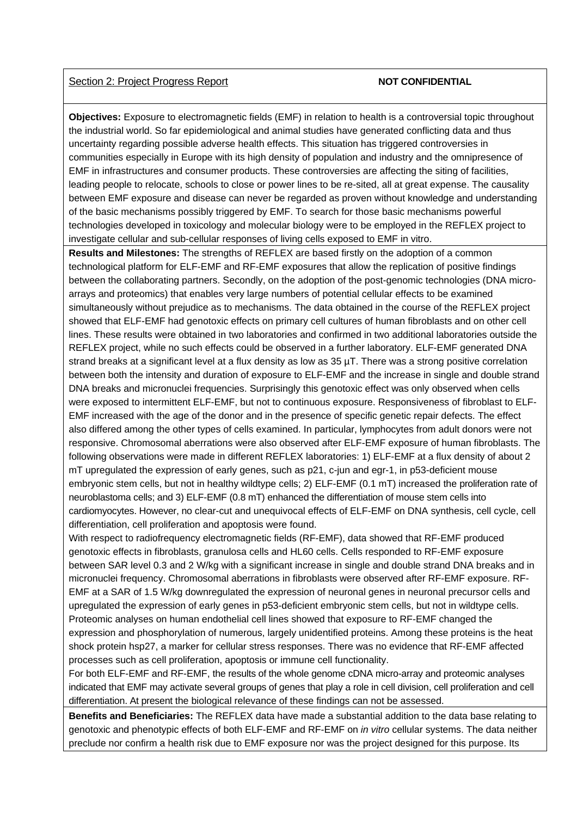## Section 2: Project Progress Report **NOT CONFIDENTIAL**

**Objectives:** Exposure to electromagnetic fields (EMF) in relation to health is a controversial topic throughout the industrial world. So far epidemiological and animal studies have generated conflicting data and thus uncertainty regarding possible adverse health effects. This situation has triggered controversies in communities especially in Europe with its high density of population and industry and the omnipresence of EMF in infrastructures and consumer products. These controversies are affecting the siting of facilities, leading people to relocate, schools to close or power lines to be re-sited, all at great expense. The causality between EMF exposure and disease can never be regarded as proven without knowledge and understanding of the basic mechanisms possibly triggered by EMF. To search for those basic mechanisms powerful technologies developed in toxicology and molecular biology were to be employed in the REFLEX project to investigate cellular and sub-cellular responses of living cells exposed to EMF in vitro.

**Results and Milestones:** The strengths of REFLEX are based firstly on the adoption of a common technological platform for ELF-EMF and RF-EMF exposures that allow the replication of positive findings between the collaborating partners. Secondly, on the adoption of the post-genomic technologies (DNA microarrays and proteomics) that enables very large numbers of potential cellular effects to be examined simultaneously without prejudice as to mechanisms. The data obtained in the course of the REFLEX project showed that ELF-EMF had genotoxic effects on primary cell cultures of human fibroblasts and on other cell lines. These results were obtained in two laboratories and confirmed in two additional laboratories outside the REFLEX project, while no such effects could be observed in a further laboratory. ELF-EMF generated DNA strand breaks at a significant level at a flux density as low as 35 µT. There was a strong positive correlation between both the intensity and duration of exposure to ELF-EMF and the increase in single and double strand DNA breaks and micronuclei frequencies. Surprisingly this genotoxic effect was only observed when cells were exposed to intermittent ELF-EMF, but not to continuous exposure. Responsiveness of fibroblast to ELF-EMF increased with the age of the donor and in the presence of specific genetic repair defects. The effect also differed among the other types of cells examined. In particular, lymphocytes from adult donors were not responsive. Chromosomal aberrations were also observed after ELF-EMF exposure of human fibroblasts. The following observations were made in different REFLEX laboratories: 1) ELF-EMF at a flux density of about 2 mT upregulated the expression of early genes, such as p21, c-jun and egr-1, in p53-deficient mouse embryonic stem cells, but not in healthy wildtype cells; 2) ELF-EMF (0.1 mT) increased the proliferation rate of neuroblastoma cells; and 3) ELF-EMF (0.8 mT) enhanced the differentiation of mouse stem cells into cardiomyocytes. However, no clear-cut and unequivocal effects of ELF-EMF on DNA synthesis, cell cycle, cell differentiation, cell proliferation and apoptosis were found.

With respect to radiofrequency electromagnetic fields (RF-EMF), data showed that RF-EMF produced genotoxic effects in fibroblasts, granulosa cells and HL60 cells. Cells responded to RF-EMF exposure between SAR level 0.3 and 2 W/kg with a significant increase in single and double strand DNA breaks and in micronuclei frequency. Chromosomal aberrations in fibroblasts were observed after RF-EMF exposure. RF-EMF at a SAR of 1.5 W/kg downregulated the expression of neuronal genes in neuronal precursor cells and upregulated the expression of early genes in p53-deficient embryonic stem cells, but not in wildtype cells. Proteomic analyses on human endothelial cell lines showed that exposure to RF-EMF changed the expression and phosphorylation of numerous, largely unidentified proteins. Among these proteins is the heat shock protein hsp27, a marker for cellular stress responses. There was no evidence that RF-EMF affected processes such as cell proliferation, apoptosis or immune cell functionality.

For both ELF-EMF and RF-EMF, the results of the whole genome cDNA micro-array and proteomic analyses indicated that EMF may activate several groups of genes that play a role in cell division, cell proliferation and cell differentiation. At present the biological relevance of these findings can not be assessed.

**Benefits and Beneficiaries:** The REFLEX data have made a substantial addition to the data base relating to genotoxic and phenotypic effects of both ELF-EMF and RF-EMF on *in vitro* cellular systems. The data neither preclude nor confirm a health risk due to EMF exposure nor was the project designed for this purpose. Its